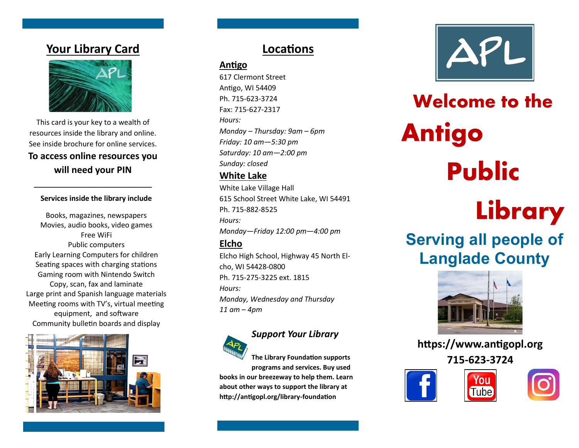## **Your Library Card**



This card is your key to a wealth of resources inside the library and online. See inside brochure for online services.

## **To access online resources you will need your PIN**

**\_\_\_\_\_\_\_\_\_\_\_\_\_\_\_\_\_\_\_\_\_\_\_**

Books, magazines, newspapers Movies, audio books, video games Free WiFi Public computers Early Learning Computers for children Seating spaces with charging stations Gaming room with Nintendo Switch Copy, scan, fax and laminate Large print and Spanish language materials Meeting rooms with TV's, virtual meeting equipment, and software Community bulletin boards and display



## **Locations**

## **Antigo**

617 Clermont Street Antigo, WI 54409 Ph. 715-623-3724 Fax: 715-627-2317 *Hours: Monday – Thursday: 9am – 6pm Friday: 10 am—5:30 pm Saturday: 10 am—2:00 pm Sunday: closed*

## **White Lake**

Services inside the library include<br>Books, magazines, newspapers<br>Hours: Hours: White Lake Village Hall 615 School Street White Lake, WI 54491 Ph. 715-882-8525 *Hours: Monday—Friday 12:00 pm—4:00 pm* **Elcho**

> Elcho High School, Highway 45 North Elcho, WI 54428-0800 Ph. 715-275-3225 ext. 1815 *Hours: Monday, Wednesday and Thursday 11 am – 4pm*



## *Support Your Library*

**The Library Foundation supports programs and services. Buy used** 

**books in our breezeway to help them. Learn about other ways to support the library at http://antigopl.org/library-foundation**



# **Welcome to the Antigo Public**

## **Serving all people of Langlade County**



**https://www.antigopl.org 715-623-3724**